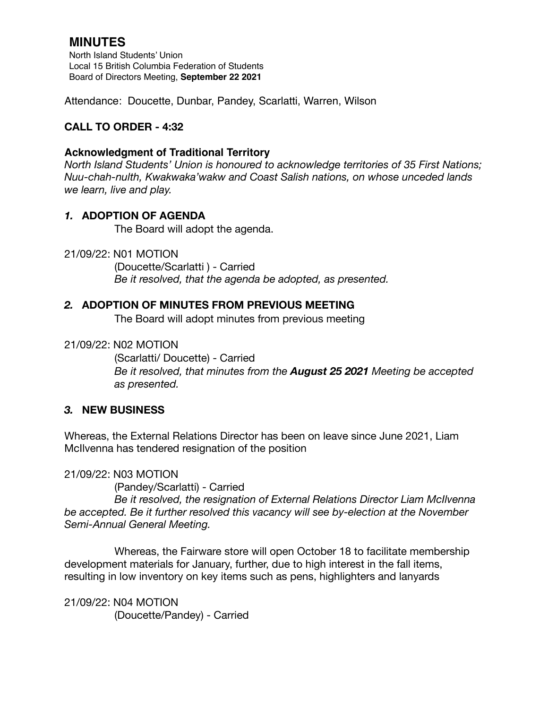# **MINUTES**

North Island Students' Union Local 15 British Columbia Federation of Students Board of Directors Meeting, **September 22 2021**

Attendance: Doucette, Dunbar, Pandey, Scarlatti, Warren, Wilson

## **CALL TO ORDER - 4:32**

### **Acknowledgment of Traditional Territory**

*North Island Students' Union is honoured to acknowledge territories of 35 First Nations; Nuu-chah-nulth, Kwakwaka'wakw and Coast Salish nations, on whose unceded lands we learn, live and play.*

### *1.* **ADOPTION OF AGENDA**

The Board will adopt the agenda.

21/09/22: N01 MOTION

 (Doucette/Scarlatti ) - Carried *Be it resolved, that the agenda be adopted, as presented.* 

### *2.* **ADOPTION OF MINUTES FROM PREVIOUS MEETING**

The Board will adopt minutes from previous meeting

21/09/22: N02 MOTION

(Scarlatti/ Doucette) - Carried *Be it resolved, that minutes from the August 25 2021 Meeting be accepted as presented.* 

#### *3.* **NEW BUSINESS**

Whereas, the External Relations Director has been on leave since June 2021, Liam McIlvenna has tendered resignation of the position

21/09/22: N03 MOTION

 (Pandey/Scarlatti) - Carried

 *Be it resolved, the resignation of External Relations Director Liam McIlvenna be accepted. Be it further resolved this vacancy will see by-election at the November Semi-Annual General Meeting.* 

Whereas, the Fairware store will open October 18 to facilitate membership development materials for January, further, due to high interest in the fall items, resulting in low inventory on key items such as pens, highlighters and lanyards

21/09/22: N04 MOTION (Doucette/Pandey) - Carried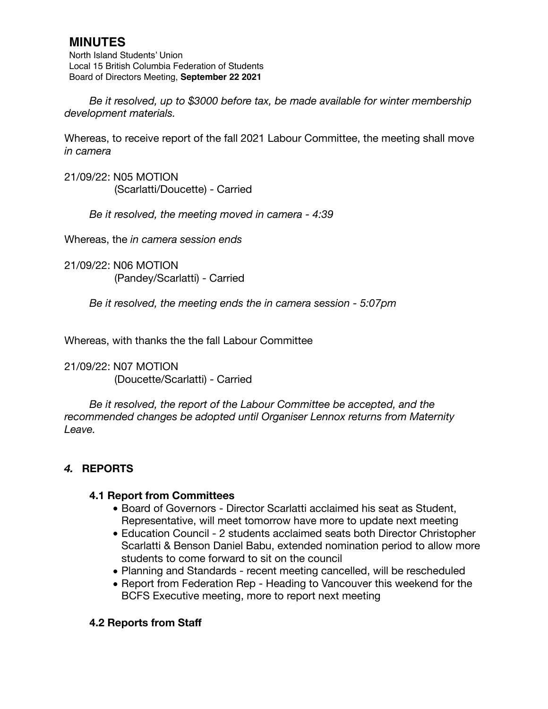# **MINUTES**

North Island Students' Union Local 15 British Columbia Federation of Students Board of Directors Meeting, **September 22 2021**

*Be it resolved, up to \$3000 before tax, be made available for winter membership development materials.* 

Whereas, to receive report of the fall 2021 Labour Committee, the meeting shall move *in camera*

21/09/22: N05 MOTION (Scarlatti/Doucette) - Carried

*Be it resolved, the meeting moved in camera - 4:39* 

Whereas, the *in camera session ends*

21/09/22: N06 MOTION (Pandey/Scarlatti) - Carried

*Be it resolved, the meeting ends the in camera session - 5:07pm* 

Whereas, with thanks the the fall Labour Committee

21/09/22: N07 MOTION (Doucette/Scarlatti) - Carried

*Be it resolved, the report of the Labour Committee be accepted, and the recommended changes be adopted until Organiser Lennox returns from Maternity Leave.* 

## *4.* **REPORTS**

#### **4.1 Report from Committees**

- *•* Board of Governors Director Scarlatti acclaimed his seat as Student, Representative, will meet tomorrow have more to update next meeting
- *•* Education Council 2 students acclaimed seats both Director Christopher Scarlatti & Benson Daniel Babu, extended nomination period to allow more students to come forward to sit on the council
- *•* Planning and Standards recent meeting cancelled, will be rescheduled
- *•* Report from Federation Rep Heading to Vancouver this weekend for the BCFS Executive meeting, more to report next meeting

## **4.2 Reports from Staff**